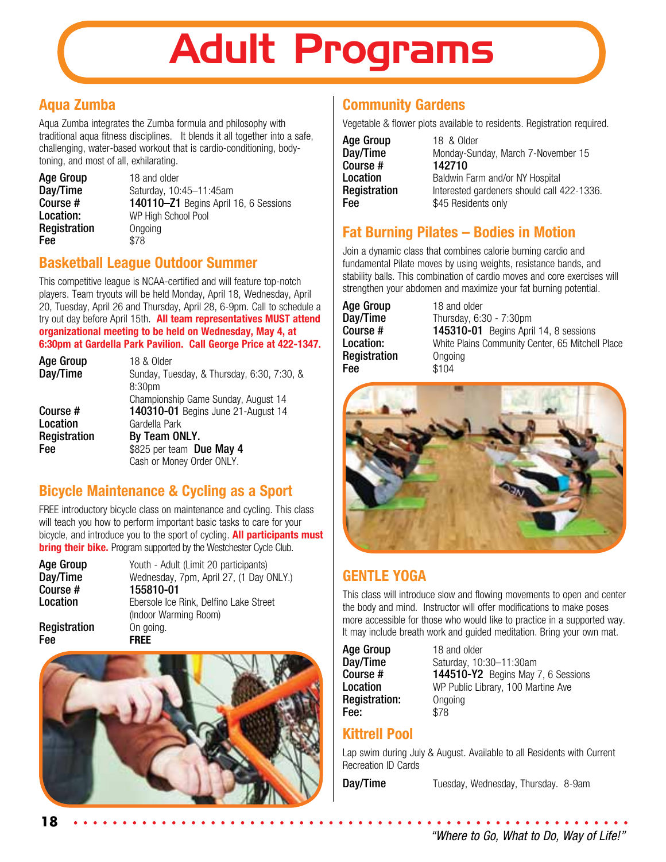# Adult Programs

## **Aqua Zumba**

Aqua Zumba integrates the Zumba formula and philosophy with traditional aqua fitness disciplines. It blends it all together into a safe, challenging, water-based workout that is cardio-conditioning, bodytoning, and most of all, exhilarating.

| <b>Age Group</b> |  |
|------------------|--|
| Day/Time         |  |
| Course #         |  |
| Location:        |  |
| Registration     |  |
| Fee              |  |

18 and older Saturday, 10:45-11:45am 140110–Z1 Begins April 16, 6 Sessions WP High School Pool **Ongoing** \$78

## **Basketball League Outdoor Summer**

This competitive league is NCAA-certified and will feature top-notch players. Team tryouts will be held Monday, April 18, Wednesday, April 20, Tuesday, April 26 and Thursday, April 28, 6-9pm. Call to schedule a try out day before April 15th. **All team representatives MUST attend organizational meeting to be held on Wednesday, May 4, at 6:30pm at Gardella Park Pavilion. Call George Price at 422-1347.** 

| <b>Age Group</b> | 18 & Older                                 |
|------------------|--------------------------------------------|
| Day/Time         | Sunday, Tuesday, & Thursday, 6:30, 7:30, & |
|                  | 8:30 <sub>pm</sub>                         |
|                  | Championship Game Sunday, August 14        |
| Course #         | 140310-01 Begins June 21-August 14         |
| Location         | Gardella Park                              |
| Registration     | By Team ONLY.                              |
| <b>Fee</b>       | \$825 per team Due May 4                   |
|                  | Cash or Money Order ONLY.                  |
|                  |                                            |

## **Bicycle Maintenance & Cycling as a Sport**

FREE introductory bicycle class on maintenance and cycling. This class will teach you how to perform important basic tasks to care for your bicycle, and introduce you to the sport of cycling. **All participants must bring their bike.** Program supported by the Westchester Cycle Club.

| <b>Age Group</b><br>Day/Time | Youth - Adult (Limit 20 participants)<br>Wednesday, 7pm, April 27, (1 Day ONLY.) |
|------------------------------|----------------------------------------------------------------------------------|
| Course #                     | 155810-01                                                                        |
| Location                     | Ebersole Ice Rink, Delfino Lake Street                                           |
|                              | (Indoor Warming Room)                                                            |
| Registration                 | On going.                                                                        |
| Fee                          | <b>FRFF</b>                                                                      |



# **Community Gardens**

Vegetable & flower plots available to residents. Registration required.

| <b>Age Group</b> |  |
|------------------|--|
| Day/Time         |  |
| Course #         |  |
| Location         |  |
| Registration     |  |
| Fee              |  |

18 & Older Monday-Sunday, March 7-November 15 142710 Baldwin Farm and/or NY Hospital Interested gardeners should call 422-1336. \$45 Residents only

## **Fat Burning Pilates – Bodies in Motion**

Join a dynamic class that combines calorie burning cardio and fundamental Pilate moves by using weights, resistance bands, and stability balls. This combination of cardio moves and core exercises will strengthen your abdomen and maximize your fat burning potential.

Age Group 18 and older<br>Day/Time Thursday, 6:3 **Registration** Ongoing **Fee** \$104

**Day/Time** Thursday, 6:30 - 7:30pm<br>**Course # 145310-01** Begins Apri **145310-01** Begins April 14, 8 sessions **Location:** White Plains Community Center, 65 Mitchell Place



## **GENTLE YOGA**

This class will introduce slow and flowing movements to open and center the body and mind. Instructor will offer modifications to make poses more accessible for those who would like to practice in a supported way. It may include breath work and guided meditation. Bring your own mat.

Age Group 18 and older Registration: Ongoing **Fee:** \$78

**Day/Time** Saturday, 10:30–11:30am<br>**Course # 144510-Y2** Begins May **144510-Y2** Begins May 7, 6 Sessions **Location** WP Public Library, 100 Martine Ave

## **Kittrell Pool**

Lap swim during July & August. Available to all Residents with Current Recreation ID Cards

**Day/Time** Tuesday, Wednesday, Thursday. 8-9am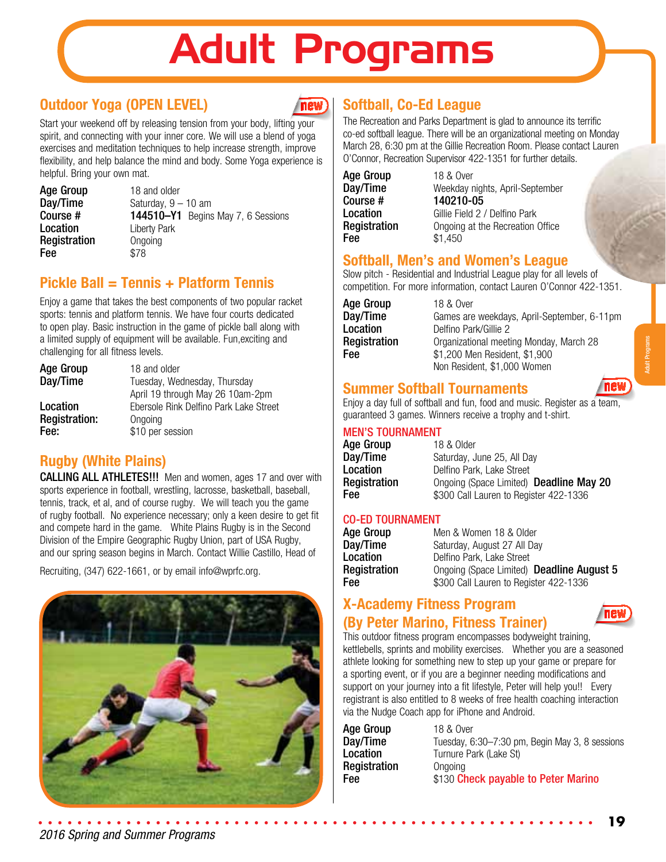# Adult Programs

## **Outdoor Yoga (OPEN LEVEL)**

**new** 

Start your weekend off by releasing tension from your body, lifting your spirit, and connecting with your inner core. We will use a blend of yoga exercises and meditation techniques to help increase strength, improve flexibility, and help balance the mind and body. Some Yoga experience is helpful. Bring your own mat.

Age Group 18 and older<br>Day/Time Saturday, 9 -Registration Ongoing **Fee** \$78

**Day/Time** Saturday,  $9 - 10$  am<br>**Course #** 144510-Y1 Begins **Course #** 144510–Y1 Begins May 7, 6 Sessions<br> **Location** Liberty Park Liberty Park

## **Pickle Ball = Tennis + Platform Tennis**

Enjoy a game that takes the best components of two popular racket sports: tennis and platform tennis. We have four courts dedicated to open play. Basic instruction in the game of pickle ball along with a limited supply of equipment will be available. Fun,exciting and challenging for all fitness levels.

| <b>Age Group</b>     | 18 and older                           |  |
|----------------------|----------------------------------------|--|
| Day/Time             | Tuesday, Wednesday, Thursday           |  |
|                      | April 19 through May 26 10am-2pm       |  |
| Location             | Ebersole Rink Delfino Park Lake Street |  |
| <b>Registration:</b> | Ongoing                                |  |
| Fee:                 | \$10 per session                       |  |

## **Rugby (White Plains)**

**CALLING ALL ATHLETES!!!** Men and women, ages 17 and over with sports experience in football, wrestling, lacrosse, basketball, baseball, tennis, track, et al, and of course rugby. We will teach you the game of rugby football. No experience necessary; only a keen desire to get fit and compete hard in the game. White Plains Rugby is in the Second Division of the Empire Geographic Rugby Union, part of USA Rugby, and our spring season begins in March. Contact Willie Castillo, Head of

Recruiting, (347) 622-1661, or by email info@wprfc.org.



# **Softball, Co-Ed League**

The Recreation and Parks Department is glad to announce its terrific co-ed softball league. There will be an organizational meeting on Monday March 28, 6:30 pm at the Gillie Recreation Room. Please contact Lauren O'Connor, Recreation Supervisor 422-1351 for further details.

| <b>Age Group</b> | 18 & Over      |
|------------------|----------------|
| Day/Time         | Weekday nigl   |
| Course #         | 140210-05      |
| Location         | Gillie Field 2 |
| Registration     | Ongoing at th  |
| Fee              | \$1,450        |

Day/Time Weekday nights, April-September Location Gillie Field 2 / Delfino Park **Registration** Ongoing at the Recreation Office

### **Softball, Men's and Women's League**

Slow pitch - Residential and Industrial League play for all levels of competition. For more information, contact Lauren O'Connor 422-1351.

**Age Group** 18 & Over<br> **Day/Time** Games are

**Day/Time** Games are weekdays, April-September, 6-11pm<br> **Location** Delfino Park/Gillie 2 **Location** Delfino Park/Gillie 2<br>**Registration** Organizational meet Organizational meeting Monday, March 28 **Fee**  $$1,200$  Men Resident, \$1,900 Non Resident, \$1,000 Women

### **Summer Softball Tournaments**

Enjoy a day full of softball and fun, food and music. Register as a team, guaranteed 3 games. Winners receive a trophy and t-shirt.

#### MEN'S TOURNAMENT

| Age Group    | 18 & Older                              |
|--------------|-----------------------------------------|
| Day/Time     | Saturday, June 25, All Day              |
| Location     | Delfino Park. Lake Street               |
| Registration | Ongoing (Space Limited) Deadline May 20 |
| Fee          | \$300 Call Lauren to Register 422-1336  |

#### CO-ED TOURNAMENT

| Age Group    | Men & Women 18 & Older                    |
|--------------|-------------------------------------------|
| Day/Time     | Saturday, August 27 All Day               |
| Location     | Delfino Park, Lake Street                 |
| Registration | Ongoing (Space Limited) Deadline August 5 |
| Fee          | \$300 Call Lauren to Register 422-1336    |

### **X-Academy Fitness Program (By Peter Marino, Fitness Trainer)**



This outdoor fitness program encompasses bodyweight training, kettlebells, sprints and mobility exercises. Whether you are a seasoned athlete looking for something new to step up your game or prepare for a sporting event, or if you are a beginner needing modifications and support on your journey into a fit lifestyle, Peter will help you!! Every registrant is also entitled to 8 weeks of free health coaching interaction via the Nudge Coach app for iPhone and Android.

Age Group 18 & Over **Registration** Ongoing

**Day/Time** Tuesday, 6:30–7:30 pm, Begin May 3, 8 sessions **Location** Turnure Park (Lake St) Fee \$130 Check payable to Peter Marino

new